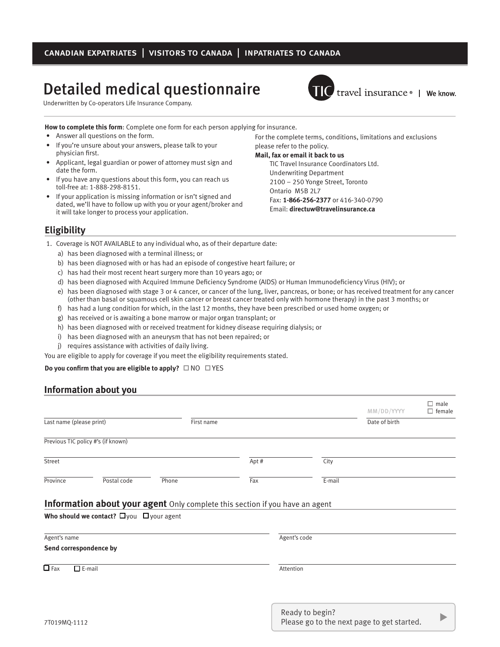# Detailed medical questionnaire

Underwritten by Co-operators Life Insurance Company.



**TIC** travel insurance • | We know.

**How to complete this form**: Complete one form for each person applying for insurance.

- • Answer all questions on the form.
- If you're unsure about your answers, please talk to your physician first.
- Applicant, legal guardian or power of attorney must sign and date the form.
- If you have any questions about this form, you can reach us toll-free at: 1-888-298-8151.
- If your application is missing information or isn't signed and dated, we'll have to follow up with you or your agent/broker and it will take longer to process your application.

For the complete terms, conditions, limitations and exclusions please refer to the policy.

#### **Mail, fax or email it back to us**

TIC Travel Insurance Coordinators Ltd. Underwriting Department 2100 – 250 Yonge Street, Toronto Ontario M5B 2L7 Fax: **1-866-256-2377** or 416-340-0790 Email: **directuw@travelinsurance.ca**

## **Eligibility**

- 1. Coverage is NOT AVAILABLE to any individual who, as of their departure date:
	- a) has been diagnosed with a terminal illness; or
	- b) has been diagnosed with or has had an episode of congestive heart failure; or
	- c) has had their most recent heart surgery more than 10 years ago; or
	- d) has been diagnosed with Acquired Immune Deficiency Syndrome (AIDS) or Human Immunodeficiency Virus (HIV); or
	- e) has been diagnosed with stage 3 or 4 cancer, or cancer of the lung, liver, pancreas, or bone; or has received treatment for any cancer (other than basal or squamous cell skin cancer or breast cancer treated only with hormone therapy) in the past 3 months; or
	- f) has had a lung condition for which, in the last 12 months, they have been prescribed or used home oxygen; or
	- g) has received or is awaiting a bone marrow or major organ transplant; or
	- h) has been diagnosed with or received treatment for kidney disease requiring dialysis; or
	- i) has been diagnosed with an aneurysm that has not been repaired; or
	- j) requires assistance with activities of daily living.

You are eligible to apply for coverage if you meet the eligibility requirements stated.

#### **Do you confirm that you are eligible to apply?** □ NO □ YES

## **Information about you**

|                          |                                                     |                                                                              |      |              | MM/DD/YYYY    | $\Box$ male<br>$\Box$ female |
|--------------------------|-----------------------------------------------------|------------------------------------------------------------------------------|------|--------------|---------------|------------------------------|
| Last name (please print) |                                                     | First name                                                                   |      |              | Date of birth |                              |
|                          | Previous TIC policy #'s (if known)                  |                                                                              |      |              |               |                              |
| Street                   |                                                     |                                                                              | Apt# | City         |               |                              |
| Province                 | Postal code                                         | Phone                                                                        | Fax  | E-mail       |               |                              |
|                          | Who should we contact? $\Box$ you $\Box$ your agent | Information about your agent Only complete this section if you have an agent |      |              |               |                              |
| Agent's name             |                                                     |                                                                              |      | Agent's code |               |                              |
| Send correspondence by   |                                                     |                                                                              |      |              |               |                              |
| $\overline{\Box}$ Fax    | $\Box$ E-mail                                       |                                                                              |      | Attention    |               |                              |
|                          |                                                     |                                                                              |      |              |               |                              |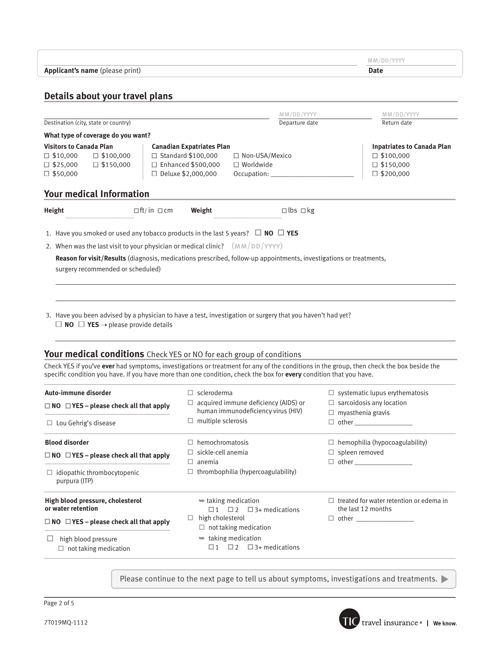|                                                                                                                                                                                                                                                                                                                                                                                                                                                                                                                   |                                                                                            |                                                                 |                                                                          | MM/DD/YYYY                                                                   |  |
|-------------------------------------------------------------------------------------------------------------------------------------------------------------------------------------------------------------------------------------------------------------------------------------------------------------------------------------------------------------------------------------------------------------------------------------------------------------------------------------------------------------------|--------------------------------------------------------------------------------------------|-----------------------------------------------------------------|--------------------------------------------------------------------------|------------------------------------------------------------------------------|--|
| Applicant's name (please print)                                                                                                                                                                                                                                                                                                                                                                                                                                                                                   |                                                                                            |                                                                 |                                                                          | <b>Date</b>                                                                  |  |
|                                                                                                                                                                                                                                                                                                                                                                                                                                                                                                                   |                                                                                            |                                                                 |                                                                          |                                                                              |  |
| Details about your travel plans                                                                                                                                                                                                                                                                                                                                                                                                                                                                                   |                                                                                            |                                                                 |                                                                          |                                                                              |  |
|                                                                                                                                                                                                                                                                                                                                                                                                                                                                                                                   |                                                                                            | MM/DD/YYYY                                                      |                                                                          | MM/DD/YYYY                                                                   |  |
| Destination (city, state or country)                                                                                                                                                                                                                                                                                                                                                                                                                                                                              |                                                                                            | Departure date                                                  |                                                                          | Return date                                                                  |  |
| What type of coverage do you want?                                                                                                                                                                                                                                                                                                                                                                                                                                                                                |                                                                                            |                                                                 |                                                                          |                                                                              |  |
| <b>Visitors to Canada Plan</b><br>$\Box$ \$10,000<br>$\Box$ \$100,000<br>$\square$ \$25,000<br>$\Box$ \$150,000                                                                                                                                                                                                                                                                                                                                                                                                   | <b>Canadian Expatriates Plan</b><br>$\Box$ Standard \$100,000<br>$\Box$ Enhanced \$500,000 | □ Non-USA/Mexico<br>$\Box$ Worldwide                            |                                                                          | <b>Inpatriates to Canada Plan</b><br>$\Box$ \$100,000<br>$\square$ \$150,000 |  |
| $\Box$ \$50,000                                                                                                                                                                                                                                                                                                                                                                                                                                                                                                   | □ Deluxe \$2,000,000                                                                       | Occupation:                                                     |                                                                          | $\Box$ \$200,000                                                             |  |
| <b>Your medical Information</b>                                                                                                                                                                                                                                                                                                                                                                                                                                                                                   |                                                                                            |                                                                 |                                                                          |                                                                              |  |
| Height<br>$\Box$ ft/in $\Box$ cm                                                                                                                                                                                                                                                                                                                                                                                                                                                                                  | Weight                                                                                     | $\square$ lbs $\square$ kg                                      |                                                                          |                                                                              |  |
|                                                                                                                                                                                                                                                                                                                                                                                                                                                                                                                   |                                                                                            |                                                                 |                                                                          |                                                                              |  |
| 1. Have you smoked or used any tobacco products in the last 5 years? $\Box$ NO $\Box$ YES                                                                                                                                                                                                                                                                                                                                                                                                                         |                                                                                            |                                                                 |                                                                          |                                                                              |  |
| 2. When was the last visit to your physician or medical clinic? $(MM/DD/YYYY)$                                                                                                                                                                                                                                                                                                                                                                                                                                    |                                                                                            |                                                                 |                                                                          |                                                                              |  |
| Reason for visit/Results (diagnosis, medications prescribed, follow-up appointments, investigations or treatments,                                                                                                                                                                                                                                                                                                                                                                                                |                                                                                            |                                                                 |                                                                          |                                                                              |  |
| surgery recommended or scheduled)                                                                                                                                                                                                                                                                                                                                                                                                                                                                                 |                                                                                            |                                                                 |                                                                          |                                                                              |  |
| 3. Have you been advised by a physician to have a test, investigation or surgery that you haven't had yet?<br>$\Box$ NO $\Box$ YES $\rightarrow$ please provide details<br>Your medical conditions Check YES or NO for each group of conditions<br>Check YES if you've ever had symptoms, investigations or treatment for any of the conditions in the group, then check the box beside the<br>specific condition you have. If you have more than one condition, check the box for every condition that you have. |                                                                                            |                                                                 |                                                                          |                                                                              |  |
|                                                                                                                                                                                                                                                                                                                                                                                                                                                                                                                   |                                                                                            |                                                                 |                                                                          |                                                                              |  |
| Auto-immune disorder<br>$\Box$ NO $\Box$ YES – please check all that apply                                                                                                                                                                                                                                                                                                                                                                                                                                        | $\Box$ scleroderma                                                                         | $\Box$ acquired immune deficiency (AIDS) or                     | $\Box$ systematic lupus erythematosis<br>$\Box$ sarcoidosis any location |                                                                              |  |
|                                                                                                                                                                                                                                                                                                                                                                                                                                                                                                                   |                                                                                            | human immunodeficiency virus (HIV)<br>$\Box$ multiple sclerosis |                                                                          | $\Box$ myasthenia gravis<br>$\Box$ other                                     |  |
| $\Box$ Lou Gehrig's disease                                                                                                                                                                                                                                                                                                                                                                                                                                                                                       |                                                                                            |                                                                 |                                                                          |                                                                              |  |
| <b>Blood disorder</b>                                                                                                                                                                                                                                                                                                                                                                                                                                                                                             | $\Box$ hemochromatosis                                                                     |                                                                 | $\Box$ hemophilia (hypocoagulability)                                    |                                                                              |  |
| $\Box$ NO $\Box$ YES – please check all that apply                                                                                                                                                                                                                                                                                                                                                                                                                                                                | $\Box$ sickle-cell anemia<br>$\Box$ anemia                                                 |                                                                 | $\Box$ spleen removed                                                    |                                                                              |  |
| $\Box$ idiopathic thrombocytopenic<br>purpura (ITP)                                                                                                                                                                                                                                                                                                                                                                                                                                                               |                                                                                            | $\Box$ thrombophilia (hypercoagulability)                       |                                                                          |                                                                              |  |
| High blood pressure, cholesterol<br>or water retention                                                                                                                                                                                                                                                                                                                                                                                                                                                            | $\Rightarrow$ taking medication                                                            | $\Box$ 1 $\Box$ 2 $\Box$ 3+ medications                         | the last 12 months                                                       | $\Box$ treated for water retention or edema in                               |  |
| $\Box$ NO $\Box$ YES – please check all that apply                                                                                                                                                                                                                                                                                                                                                                                                                                                                | high cholesterol<br>$\Box$<br>$\Box$ not taking medication                                 |                                                                 |                                                                          |                                                                              |  |
| $\Box$ high blood pressure                                                                                                                                                                                                                                                                                                                                                                                                                                                                                        | $\Rightarrow$ taking medication                                                            |                                                                 |                                                                          |                                                                              |  |
| $\Box$ not taking medication                                                                                                                                                                                                                                                                                                                                                                                                                                                                                      |                                                                                            | $\Box$ 1 $\Box$ 2 $\Box$ 3+ medications                         |                                                                          |                                                                              |  |

Please continue to the next page to tell us about symptoms, investigations and treatments.

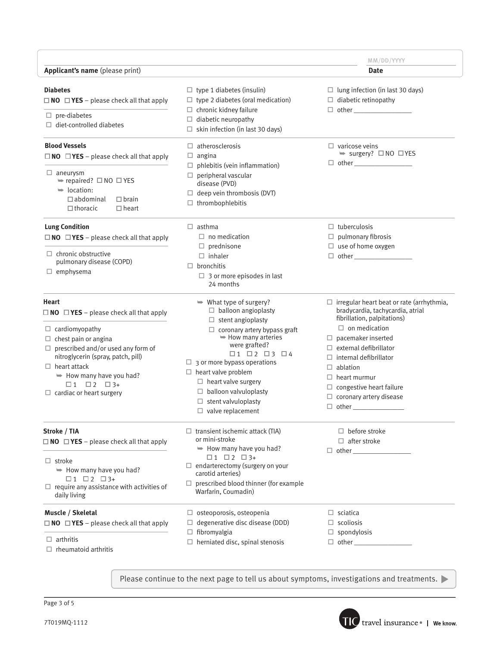|                                                                                                                                                                                                                                                                                                                                         |                                                                                                                                                                                                                                                                                                                                                                                                                             | MM/DD/YYYY                                                                                                                                                                                                                                                                                                                                                |
|-----------------------------------------------------------------------------------------------------------------------------------------------------------------------------------------------------------------------------------------------------------------------------------------------------------------------------------------|-----------------------------------------------------------------------------------------------------------------------------------------------------------------------------------------------------------------------------------------------------------------------------------------------------------------------------------------------------------------------------------------------------------------------------|-----------------------------------------------------------------------------------------------------------------------------------------------------------------------------------------------------------------------------------------------------------------------------------------------------------------------------------------------------------|
| Applicant's name (please print)                                                                                                                                                                                                                                                                                                         |                                                                                                                                                                                                                                                                                                                                                                                                                             | Date                                                                                                                                                                                                                                                                                                                                                      |
| <b>Diabetes</b><br>$\Box$ NO $\Box$ YES – please check all that apply<br>$\Box$ pre-diabetes<br>$\Box$ diet-controlled diabetes                                                                                                                                                                                                         | $\Box$ type 1 diabetes (insulin)<br>$\Box$ type 2 diabetes (oral medication)<br>$\Box$ chronic kidney failure<br>$\Box$ diabetic neuropathy<br>$\Box$ skin infection (in last 30 days)                                                                                                                                                                                                                                      | $\Box$ lung infection (in last 30 days)<br>$\Box$ diabetic retinopathy<br>$\Box$ other $\Box$                                                                                                                                                                                                                                                             |
| <b>Blood Vessels</b><br>$\Box$ NO $\Box$ YES – please check all that apply<br>$\Box$ aneurysm<br>$\Rightarrow$ repaired? $\Box$ NO $\Box$ YES<br>$\Rightarrow$ location:<br>$\Box$ abdominal<br>$\Box$ brain<br>$\Box$ thoracic<br>$\Box$ heart                                                                                         | $\Box$ atherosclerosis<br>$\Box$ angina<br>$\Box$ phlebitis (vein inflammation)<br>$\Box$ peripheral vascular<br>disease (PVD)<br>$\Box$ deep vein thrombosis (DVT)<br>$\Box$ thrombophlebitis                                                                                                                                                                                                                              | $\Box$ varicose veins<br>$\Rightarrow$ surgery? $\Box$ NO $\Box$ YES                                                                                                                                                                                                                                                                                      |
| <b>Lung Condition</b><br>$\Box$ NO $\Box$ YES - please check all that apply<br>$\Box$ chronic obstructive<br>pulmonary disease (COPD)<br>$\Box$ emphysema                                                                                                                                                                               | $\Box$ asthma<br>$\Box$ no medication<br>$\Box$ prednisone<br>$\Box$ inhaler<br>$\Box$ bronchitis<br>$\Box$ 3 or more episodes in last<br>24 months                                                                                                                                                                                                                                                                         | $\Box$ tuberculosis<br>$\Box$ pulmonary fibrosis<br>$\Box$ use of home oxygen                                                                                                                                                                                                                                                                             |
| Heart<br>$\Box$ NO $\Box$ YES – please check all that apply<br>$\Box$ cardiomyopathy<br>$\Box$ chest pain or angina<br>$\Box$ prescribed and/or used any form of<br>nitroglycerin (spray, patch, pill)<br>$\Box$ heart attack<br>$\Rightarrow$ How many have you had?<br>$\Box$ 1 $\Box$ 2 $\Box$ 3+<br>$\Box$ cardiac or heart surgery | $\Rightarrow$ What type of surgery?<br>$\Box$ balloon angioplasty<br>$\Box$ stent angioplasty<br>$\Box$ coronary artery bypass graft<br>$\rightarrow$ How many arteries<br>were grafted?<br>$\Box$ 1 $\Box$ 2 $\Box$ 3 $\Box$ 4<br>$\Box$ 3 or more bypass operations<br>$\Box$ heart valve problem<br>$\Box$ heart valve surgery<br>$\Box$ balloon valvuloplasty<br>$\Box$ stent valvuloplasty<br>$\Box$ valve replacement | $\Box$ irregular heart beat or rate (arrhythmia,<br>bradycardia, tachycardia, atrial<br>fibrillation, palpitations)<br>$\Box$ on medication<br>$\Box$ pacemaker inserted<br>$\Box$ external defibrillator<br>$\Box$ internal defibrillator<br>$\Box$ ablation<br>$\Box$ heart murmur<br>$\Box$ congestive heart failure<br>$\Box$ coronary artery disease |
| Stroke / TIA<br>$\Box$ NO $\Box$ YES – please check all that apply<br>$\Box$ stroke<br>$\Rightarrow$ How many have you had?<br>$\Box$ 1 $\Box$ 2 $\Box$ 3+<br>$\Box$ require any assistance with activities of<br>daily living                                                                                                          | $\Box$ transient ischemic attack (TIA)<br>or mini-stroke<br>$\Rightarrow$ How many have you had?<br>$\Box$ 1 $\Box$ 2 $\Box$ 3+<br>$\Box$ endarterectomy (surgery on your<br>carotid arteries)<br>$\Box$ prescribed blood thinner (for example<br>Warfarin, Coumadin)                                                                                                                                                       | $\Box$ before stroke<br>$\Box$ after stroke                                                                                                                                                                                                                                                                                                               |
| Muscle / Skeletal<br>$\Box$ NO $\Box$ YES – please check all that apply<br>$\Box$ arthritis<br>$\Box$ rheumatoid arthritis                                                                                                                                                                                                              | $\Box$ osteoporosis, osteopenia<br>$\Box$ degenerative disc disease (DDD)<br>$\Box$ fibromyalgia<br>$\Box$ herniated disc, spinal stenosis                                                                                                                                                                                                                                                                                  | $\Box$ sciatica<br>$\Box$ scoliosis<br>$\Box$ spondylosis                                                                                                                                                                                                                                                                                                 |

Please continue to the next page to tell us about symptoms, investigations and treatments.

Page 3 of 5

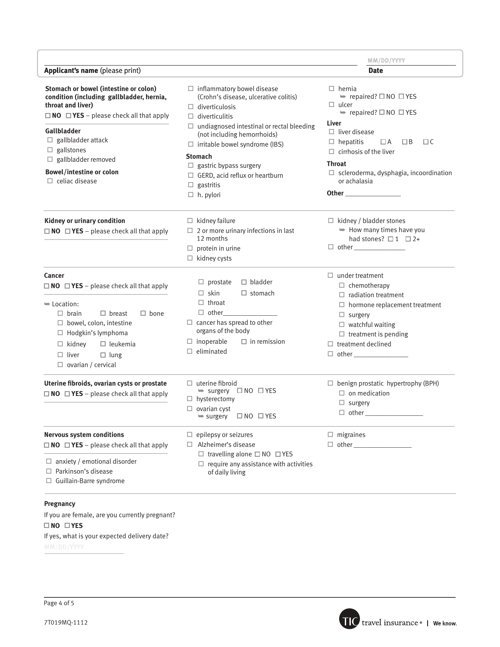|                                                                                                                                                                                                                                                                                                                          |                                                                                                                                                                                                                                                                                                                                                                                              | MM/DD/YYYY                                                                                                                                                                                                                                                                                                                         |
|--------------------------------------------------------------------------------------------------------------------------------------------------------------------------------------------------------------------------------------------------------------------------------------------------------------------------|----------------------------------------------------------------------------------------------------------------------------------------------------------------------------------------------------------------------------------------------------------------------------------------------------------------------------------------------------------------------------------------------|------------------------------------------------------------------------------------------------------------------------------------------------------------------------------------------------------------------------------------------------------------------------------------------------------------------------------------|
| Applicant's name (please print)                                                                                                                                                                                                                                                                                          |                                                                                                                                                                                                                                                                                                                                                                                              | <b>Date</b>                                                                                                                                                                                                                                                                                                                        |
| Stomach or bowel (intestine or colon)<br>condition (including gallbladder, hernia,<br>throat and liver)<br>$\Box$ NO $\Box$ YES – please check all that apply<br>Gallbladder<br>$\Box$ gallbladder attack<br>$\Box$ gallstones<br>$\Box$ gallbladder removed<br><b>Bowel/intestine or colon</b><br>$\Box$ celiac disease | $\Box$ inflammatory bowel disease<br>(Crohn's disease, ulcerative colitis)<br>$\Box$ diverticulosis<br>$\Box$ diverticulitis<br>$\Box$ undiagnosed intestinal or rectal bleeding<br>(not including hemorrhoids)<br>$\Box$ irritable bowel syndrome (IBS)<br><b>Stomach</b><br>$\Box$ gastric bypass surgery<br>$\Box$ GERD, acid reflux or heartburn<br>$\Box$ gastritis<br>$\Box$ h. pylori | $\Box$ hernia<br>$\Rightarrow$ repaired? $\Box$ NO $\Box$ YES<br>$\Box$ ulcer<br>$\Rightarrow$ repaired? $\Box$ NO $\Box$ YES<br>Liver<br>$\Box$ liver disease<br>$\Box$ hepatitis<br>$\Box C$<br>$\Box A$<br>$\Box$ B<br>$\Box$ cirrhosis of the liver<br>Throat<br>$\Box$ scleroderma, dysphagia, incoordination<br>or achalasia |
| Kidney or urinary condition<br>$\Box$ NO $\Box$ YES – please check all that apply                                                                                                                                                                                                                                        | $\Box$ kidney failure<br>$\Box$ 2 or more urinary infections in last<br>12 months<br>$\Box$ protein in urine<br>$\Box$ kidney cysts                                                                                                                                                                                                                                                          | $\Box$ kidney / bladder stones<br>$\Rightarrow$ How many times have you<br>had stones? $\Box$ 1 $\Box$ 2+                                                                                                                                                                                                                          |
| Cancer<br>$\Box$ NO $\Box$ YES - please check all that apply<br>$\blacktriangleright$ Location:<br>$\Box$ brain<br>$\Box$ breast<br>$\Box$ bone<br>$\Box$ bowel, colon, intestine<br>$\Box$ Hodgkin's lymphoma<br>$\Box$ kidney<br>$\Box$ leukemia<br>$\Box$ liver<br>$\Box$ lung<br>$\Box$ ovarian / cervical           | $\Box$ bladder<br>$\Box$ prostate<br>$\Box$ skin<br>$\Box$ stomach<br>$\Box$ throat<br>$\Box$ other<br>$\Box$ cancer has spread to other<br>organs of the body<br>$\Box$ inoperable<br>$\Box$ in remission<br>$\Box$ eliminated                                                                                                                                                              | $\Box$ under treatment<br>$\Box$ chemotherapy<br>$\Box$ radiation treatment<br>$\Box$ hormone replacement treatment<br>$\Box$ surgery<br>$\Box$ watchful waiting<br>$\Box$ treatment is pending<br>$\Box$ treatment declined<br>$\Box$ other                                                                                       |
| Uterine fibroids, ovarian cysts or prostate<br>$\Box$ NO $\Box$ YES - please check all that apply                                                                                                                                                                                                                        | $\Box$ uterine fibroid<br>$\Rightarrow$ surgery $\Box$ NO $\Box$ YES<br>$\Box$ hysterectomy<br>$\Box$ ovarian cyst<br>$\Box$ NO $\Box$ YES<br>$\Rightarrow$ surgery                                                                                                                                                                                                                          | $\Box$ benign prostatic hypertrophy (BPH)<br>$\Box$ on medication<br>$\Box$ surgery<br>$\Box$ other $\Box$                                                                                                                                                                                                                         |
| <b>Nervous system conditions</b><br>$\Box$ NO $\Box$ YES - please check all that apply<br>$\Box$ anxiety / emotional disorder<br>$\Box$ Parkinson's disease<br>$\Box$ Guillain-Barre syndrome                                                                                                                            | $\Box$ epilepsy or seizures<br>$\Box$ Alzheimer's disease<br>$\Box$ travelling alone $\Box$ NO $\Box$ YES<br>$\Box$ require any assistance with activities<br>of daily living                                                                                                                                                                                                                | $\Box$ migraines                                                                                                                                                                                                                                                                                                                   |

### **Pregnancy**

If you are female, are you currently pregnant?

 **NO YES**

If yes, what is your expected delivery date?

MM/DD/YYYY

Page 4 of 5